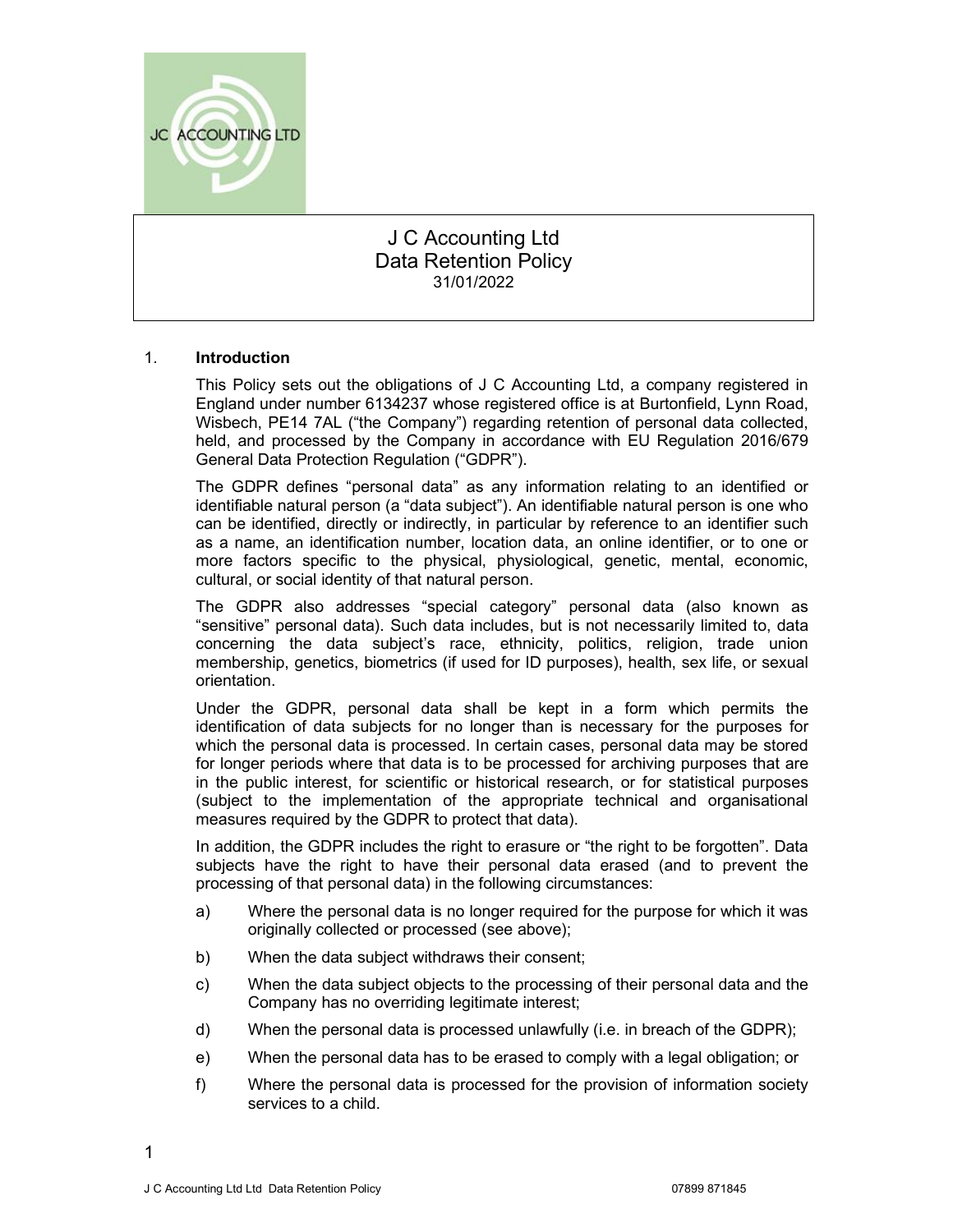

# J C Accounting Ltd Data Retention Policy 31/01/2022

# 1. Introduction

This Policy sets out the obligations of J C Accounting Ltd, a company registered in England under number 6134237 whose registered office is at Burtonfield, Lynn Road, Wisbech, PE14 7AL ("the Company") regarding retention of personal data collected, held, and processed by the Company in accordance with EU Regulation 2016/679 General Data Protection Regulation ("GDPR").

The GDPR defines "personal data" as any information relating to an identified or identifiable natural person (a "data subject"). An identifiable natural person is one who can be identified, directly or indirectly, in particular by reference to an identifier such as a name, an identification number, location data, an online identifier, or to one or more factors specific to the physical, physiological, genetic, mental, economic, cultural, or social identity of that natural person.

The GDPR also addresses "special category" personal data (also known as "sensitive" personal data). Such data includes, but is not necessarily limited to, data concerning the data subject's race, ethnicity, politics, religion, trade union membership, genetics, biometrics (if used for ID purposes), health, sex life, or sexual orientation.

Under the GDPR, personal data shall be kept in a form which permits the identification of data subjects for no longer than is necessary for the purposes for which the personal data is processed. In certain cases, personal data may be stored for longer periods where that data is to be processed for archiving purposes that are in the public interest, for scientific or historical research, or for statistical purposes (subject to the implementation of the appropriate technical and organisational measures required by the GDPR to protect that data).

In addition, the GDPR includes the right to erasure or "the right to be forgotten". Data subjects have the right to have their personal data erased (and to prevent the processing of that personal data) in the following circumstances:

- a) Where the personal data is no longer required for the purpose for which it was originally collected or processed (see above);
- b) When the data subject withdraws their consent;
- c) When the data subject objects to the processing of their personal data and the Company has no overriding legitimate interest;
- d) When the personal data is processed unlawfully (i.e. in breach of the GDPR);
- e) When the personal data has to be erased to comply with a legal obligation; or
- f) Where the personal data is processed for the provision of information society services to a child.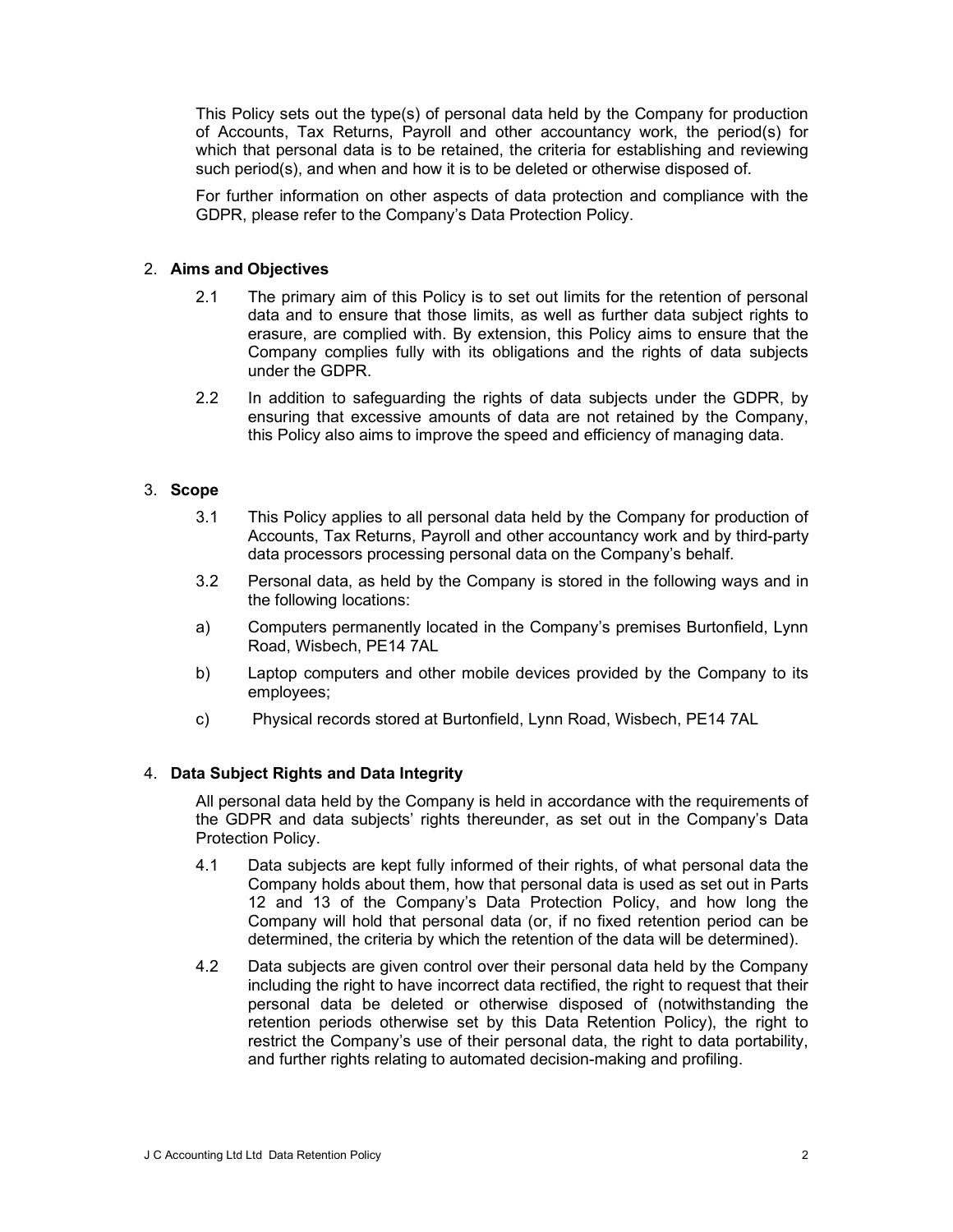This Policy sets out the type(s) of personal data held by the Company for production of Accounts, Tax Returns, Payroll and other accountancy work, the period(s) for which that personal data is to be retained, the criteria for establishing and reviewing such period(s), and when and how it is to be deleted or otherwise disposed of.

For further information on other aspects of data protection and compliance with the GDPR, please refer to the Company's Data Protection Policy.

## 2. Aims and Objectives

- 2.1 The primary aim of this Policy is to set out limits for the retention of personal data and to ensure that those limits, as well as further data subject rights to erasure, are complied with. By extension, this Policy aims to ensure that the Company complies fully with its obligations and the rights of data subjects under the GDPR.
- 2.2 In addition to safeguarding the rights of data subjects under the GDPR, by ensuring that excessive amounts of data are not retained by the Company, this Policy also aims to improve the speed and efficiency of managing data.

## 3. Scope

- 3.1 This Policy applies to all personal data held by the Company for production of Accounts, Tax Returns, Payroll and other accountancy work and by third-party data processors processing personal data on the Company's behalf.
- 3.2 Personal data, as held by the Company is stored in the following ways and in the following locations:
- a) Computers permanently located in the Company's premises Burtonfield, Lynn Road, Wisbech, PE14 7AL
- b) Laptop computers and other mobile devices provided by the Company to its employees;
- c) Physical records stored at Burtonfield, Lynn Road, Wisbech, PE14 7AL

# 4. Data Subject Rights and Data Integrity

All personal data held by the Company is held in accordance with the requirements of the GDPR and data subjects' rights thereunder, as set out in the Company's Data Protection Policy.

- 4.1 Data subjects are kept fully informed of their rights, of what personal data the Company holds about them, how that personal data is used as set out in Parts 12 and 13 of the Company's Data Protection Policy, and how long the Company will hold that personal data (or, if no fixed retention period can be determined, the criteria by which the retention of the data will be determined).
- 4.2 Data subjects are given control over their personal data held by the Company including the right to have incorrect data rectified, the right to request that their personal data be deleted or otherwise disposed of (notwithstanding the retention periods otherwise set by this Data Retention Policy), the right to restrict the Company's use of their personal data, the right to data portability, and further rights relating to automated decision-making and profiling.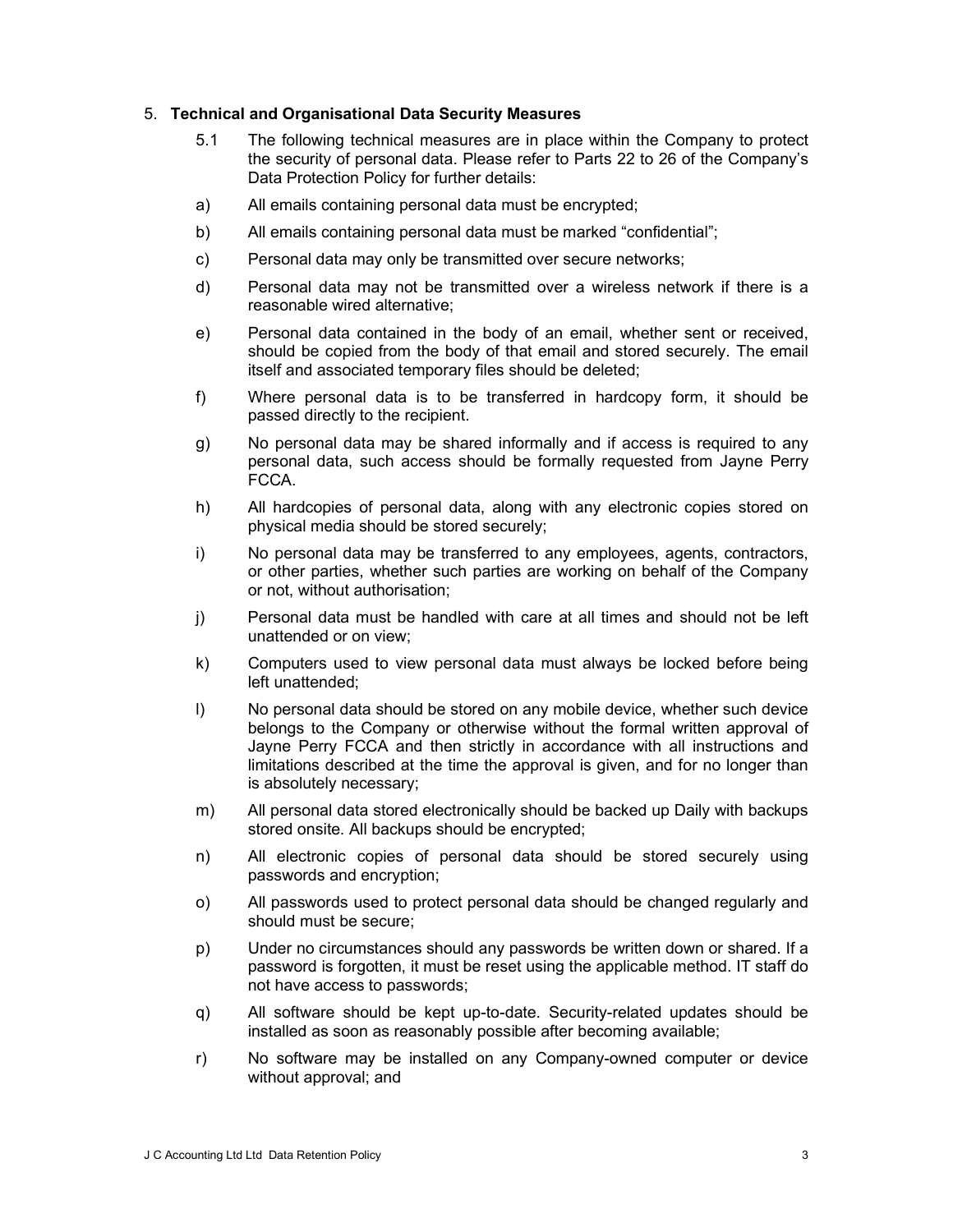#### 5. Technical and Organisational Data Security Measures

- 5.1 The following technical measures are in place within the Company to protect the security of personal data. Please refer to Parts 22 to 26 of the Company's Data Protection Policy for further details:
- a) All emails containing personal data must be encrypted;
- b) All emails containing personal data must be marked "confidential";
- c) Personal data may only be transmitted over secure networks;
- d) Personal data may not be transmitted over a wireless network if there is a reasonable wired alternative;
- e) Personal data contained in the body of an email, whether sent or received, should be copied from the body of that email and stored securely. The email itself and associated temporary files should be deleted;
- f) Where personal data is to be transferred in hardcopy form, it should be passed directly to the recipient.
- g) No personal data may be shared informally and if access is required to any personal data, such access should be formally requested from Jayne Perry FCCA.
- h) All hardcopies of personal data, along with any electronic copies stored on physical media should be stored securely;
- i) No personal data may be transferred to any employees, agents, contractors, or other parties, whether such parties are working on behalf of the Company or not, without authorisation;
- j) Personal data must be handled with care at all times and should not be left unattended or on view;
- k) Computers used to view personal data must always be locked before being left unattended;
- l) No personal data should be stored on any mobile device, whether such device belongs to the Company or otherwise without the formal written approval of Jayne Perry FCCA and then strictly in accordance with all instructions and limitations described at the time the approval is given, and for no longer than is absolutely necessary;
- m) All personal data stored electronically should be backed up Daily with backups stored onsite. All backups should be encrypted;
- n) All electronic copies of personal data should be stored securely using passwords and encryption;
- o) All passwords used to protect personal data should be changed regularly and should must be secure;
- p) Under no circumstances should any passwords be written down or shared. If a password is forgotten, it must be reset using the applicable method. IT staff do not have access to passwords;
- q) All software should be kept up-to-date. Security-related updates should be installed as soon as reasonably possible after becoming available;
- r) No software may be installed on any Company-owned computer or device without approval; and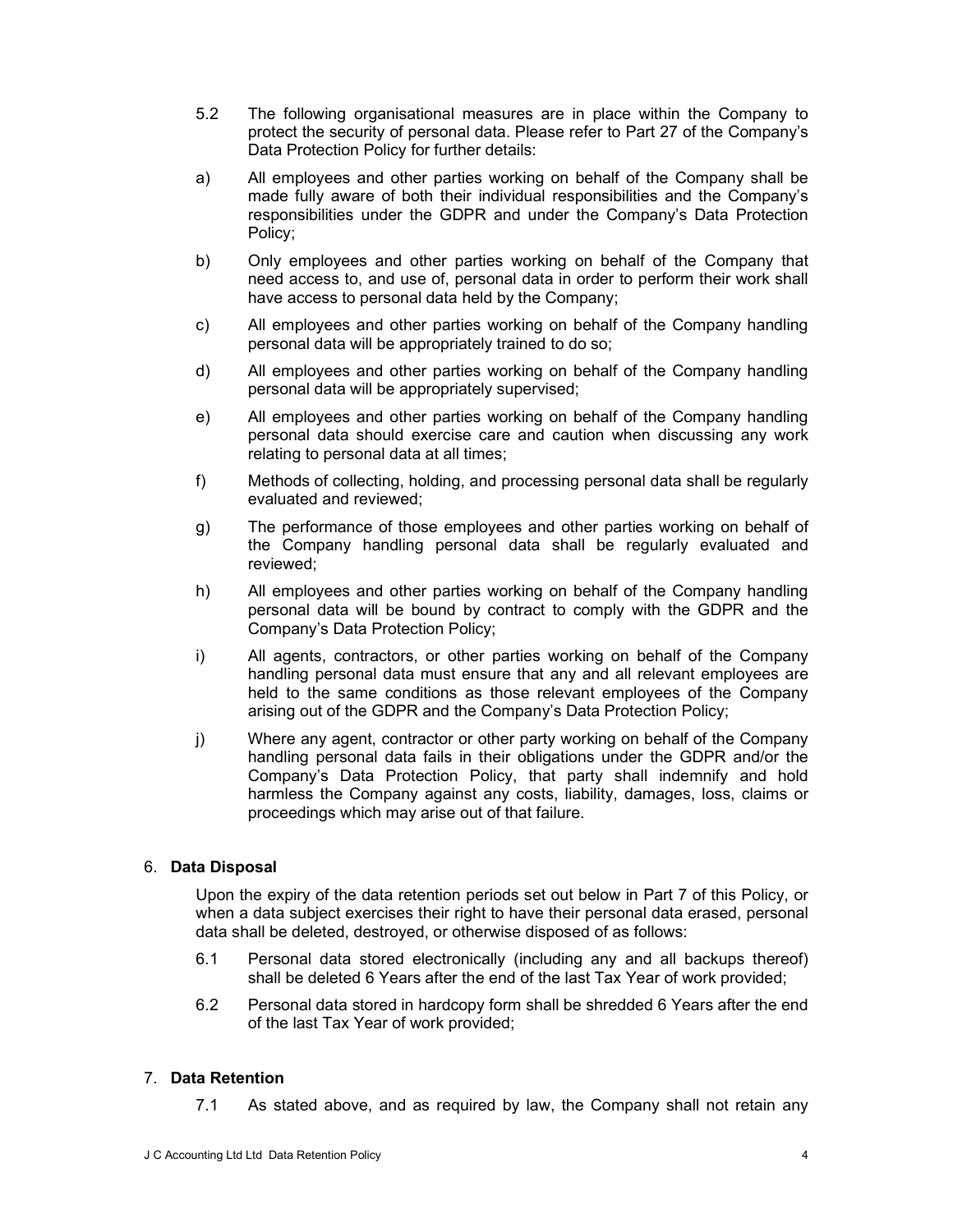- 5.2 The following organisational measures are in place within the Company to protect the security of personal data. Please refer to Part 27 of the Company's Data Protection Policy for further details:
- a) All employees and other parties working on behalf of the Company shall be made fully aware of both their individual responsibilities and the Company's responsibilities under the GDPR and under the Company's Data Protection Policy;
- b) Only employees and other parties working on behalf of the Company that need access to, and use of, personal data in order to perform their work shall have access to personal data held by the Company;
- c) All employees and other parties working on behalf of the Company handling personal data will be appropriately trained to do so;
- d) All employees and other parties working on behalf of the Company handling personal data will be appropriately supervised;
- e) All employees and other parties working on behalf of the Company handling personal data should exercise care and caution when discussing any work relating to personal data at all times;
- f) Methods of collecting, holding, and processing personal data shall be regularly evaluated and reviewed;
- g) The performance of those employees and other parties working on behalf of the Company handling personal data shall be regularly evaluated and reviewed;
- h) All employees and other parties working on behalf of the Company handling personal data will be bound by contract to comply with the GDPR and the Company's Data Protection Policy;
- i) All agents, contractors, or other parties working on behalf of the Company handling personal data must ensure that any and all relevant employees are held to the same conditions as those relevant employees of the Company arising out of the GDPR and the Company's Data Protection Policy;
- j) Where any agent, contractor or other party working on behalf of the Company handling personal data fails in their obligations under the GDPR and/or the Company's Data Protection Policy, that party shall indemnify and hold harmless the Company against any costs, liability, damages, loss, claims or proceedings which may arise out of that failure.

# 6. Data Disposal

Upon the expiry of the data retention periods set out below in Part 7 of this Policy, or when a data subject exercises their right to have their personal data erased, personal data shall be deleted, destroyed, or otherwise disposed of as follows:

- 6.1 Personal data stored electronically (including any and all backups thereof) shall be deleted 6 Years after the end of the last Tax Year of work provided;
- 6.2 Personal data stored in hardcopy form shall be shredded 6 Years after the end of the last Tax Year of work provided;

# 7. Data Retention

7.1 As stated above, and as required by law, the Company shall not retain any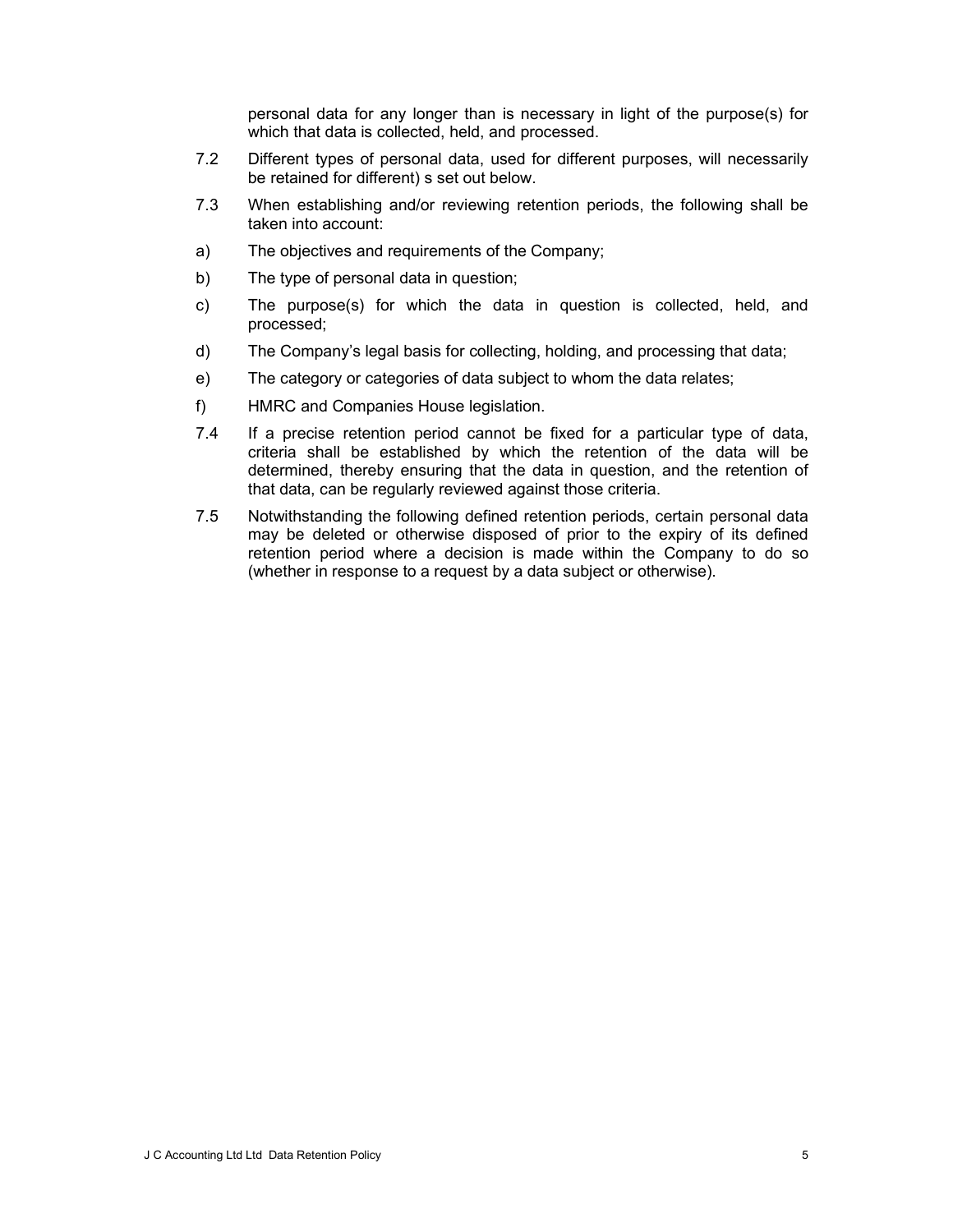personal data for any longer than is necessary in light of the purpose(s) for which that data is collected, held, and processed.

- 7.2 Different types of personal data, used for different purposes, will necessarily be retained for different) s set out below.
- 7.3 When establishing and/or reviewing retention periods, the following shall be taken into account:
- a) The objectives and requirements of the Company;
- b) The type of personal data in question;
- c) The purpose(s) for which the data in question is collected, held, and processed;
- d) The Company's legal basis for collecting, holding, and processing that data;
- e) The category or categories of data subject to whom the data relates;
- f) HMRC and Companies House legislation.
- 7.4 If a precise retention period cannot be fixed for a particular type of data, criteria shall be established by which the retention of the data will be determined, thereby ensuring that the data in question, and the retention of that data, can be regularly reviewed against those criteria.
- 7.5 Notwithstanding the following defined retention periods, certain personal data may be deleted or otherwise disposed of prior to the expiry of its defined retention period where a decision is made within the Company to do so (whether in response to a request by a data subject or otherwise).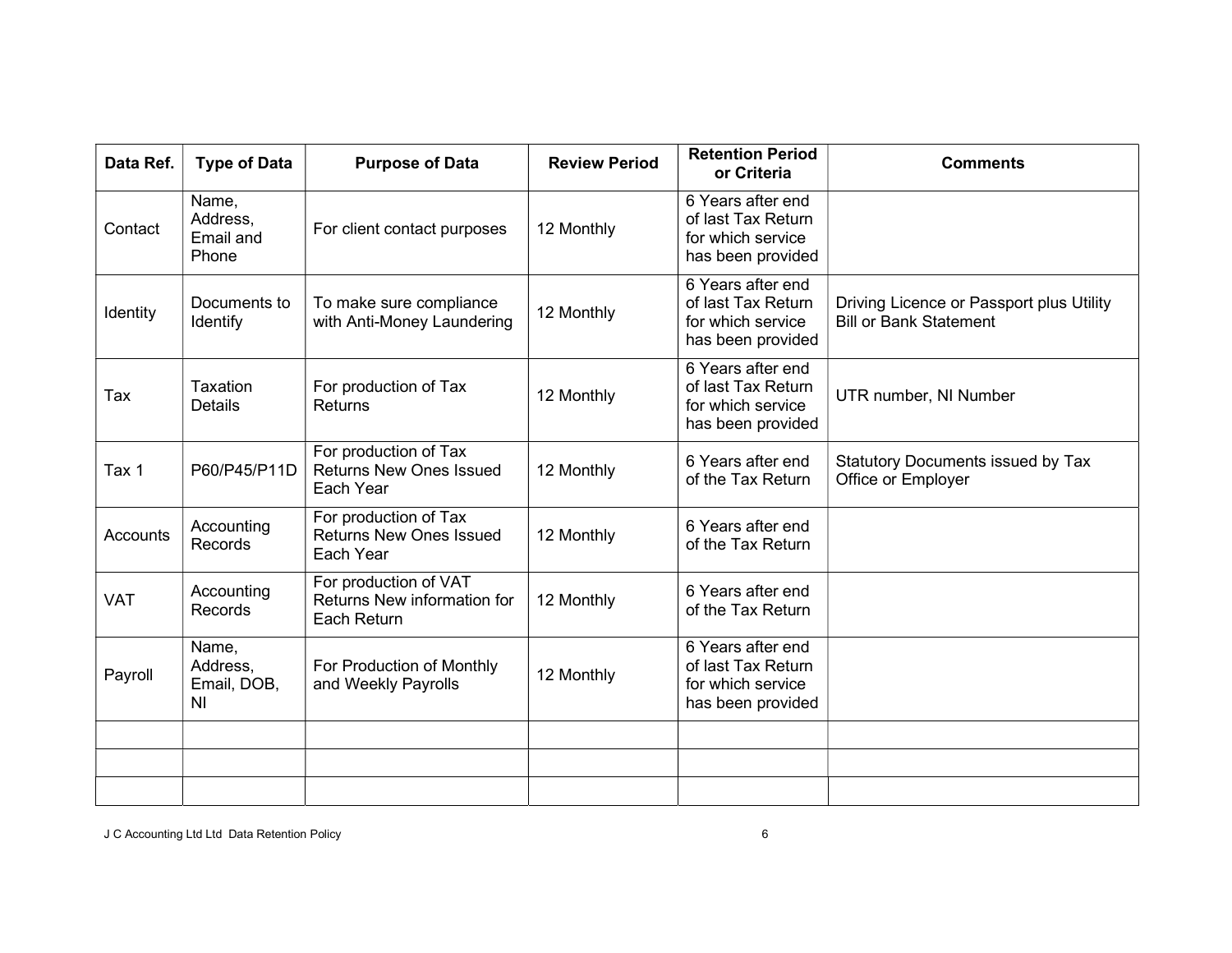| Data Ref.  | <b>Type of Data</b>                                | <b>Purpose of Data</b>                                               | <b>Review Period</b> | <b>Retention Period</b><br>or Criteria                                            | <b>Comments</b>                                                           |
|------------|----------------------------------------------------|----------------------------------------------------------------------|----------------------|-----------------------------------------------------------------------------------|---------------------------------------------------------------------------|
| Contact    | Name,<br>Address,<br>Email and<br>Phone            | For client contact purposes                                          | 12 Monthly           | 6 Years after end<br>of last Tax Return<br>for which service<br>has been provided |                                                                           |
| Identity   | Documents to<br>Identify                           | To make sure compliance<br>with Anti-Money Laundering                | 12 Monthly           | 6 Years after end<br>of last Tax Return<br>for which service<br>has been provided | Driving Licence or Passport plus Utility<br><b>Bill or Bank Statement</b> |
| Tax        | Taxation<br><b>Details</b>                         | For production of Tax<br>Returns                                     | 12 Monthly           | 6 Years after end<br>of last Tax Return<br>for which service<br>has been provided | UTR number, NI Number                                                     |
| Tax 1      | P60/P45/P11D                                       | For production of Tax<br><b>Returns New Ones Issued</b><br>Each Year | 12 Monthly           | 6 Years after end<br>of the Tax Return                                            | <b>Statutory Documents issued by Tax</b><br>Office or Employer            |
| Accounts   | Accounting<br>Records                              | For production of Tax<br><b>Returns New Ones Issued</b><br>Each Year | 12 Monthly           | 6 Years after end<br>of the Tax Return                                            |                                                                           |
| <b>VAT</b> | Accounting<br>Records                              | For production of VAT<br>Returns New information for<br>Each Return  | 12 Monthly           | 6 Years after end<br>of the Tax Return                                            |                                                                           |
| Payroll    | Name,<br>Address,<br>Email, DOB,<br>N <sub>l</sub> | For Production of Monthly<br>and Weekly Payrolls                     | 12 Monthly           | 6 Years after end<br>of last Tax Return<br>for which service<br>has been provided |                                                                           |
|            |                                                    |                                                                      |                      |                                                                                   |                                                                           |
|            |                                                    |                                                                      |                      |                                                                                   |                                                                           |
|            |                                                    |                                                                      |                      |                                                                                   |                                                                           |

J C Accounting Ltd Ltd Data Retention Policy 6